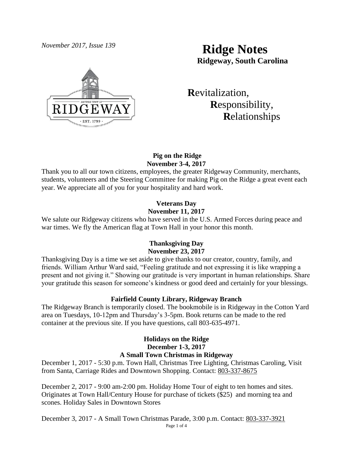

# *November 2017, Issue 139* **Ridge Notes Ridgeway, South Carolina**

 **R**evitalization,  **R**esponsibility,  **R**elationships

## **Pig on the Ridge November 3-4, 2017**

Thank you to all our town citizens, employees, the greater Ridgeway Community, merchants, students, volunteers and the Steering Committee for making Pig on the Ridge a great event each year. We appreciate all of you for your hospitality and hard work.

## **Veterans Day November 11, 2017**

We salute our Ridgeway citizens who have served in the U.S. Armed Forces during peace and war times. We fly the American flag at Town Hall in your honor this month.

## **Thanksgiving Day November 23, 2017**

Thanksgiving Day is a time we set aside to give thanks to our creator, country, family, and friends. William Arthur Ward said, "Feeling gratitude and not expressing it is like wrapping a present and not giving it." Showing our gratitude is very important in human relationships. Share your gratitude this season for someone's kindness or good deed and certainly for your blessings.

## **Fairfield County Library, Ridgeway Branch**

The Ridgeway Branch is temporarily closed. The bookmobile is in Ridgeway in the Cotton Yard area on Tuesdays, 10-12pm and Thursday's 3-5pm. Book returns can be made to the red container at the previous site. If you have questions, call 803-635-4971.

## **Holidays on the Ridge December 1-3, 2017 A Small Town Christmas in Ridgeway**

December 1, 2017 - 5:30 p.m. Town Hall, Christmas Tree Lighting, Christmas Caroling, Visit from Santa, Carriage Rides and Downtown Shopping. Contact: [803-337-8675](tel:(803)%20337-8675)

December 2, 2017 - 9:00 am-2:00 pm. Holiday Home Tour of eight to ten homes and sites. Originates at Town Hall/Century House for purchase of tickets (\$25) and morning tea and scones. Holiday Sales in Downtown Stores

Page 1 of 4 December 3, 2017 - A Small Town Christmas Parade, 3:00 p.m. Contact: [803-337-3921](tel:(803)%20337-3921)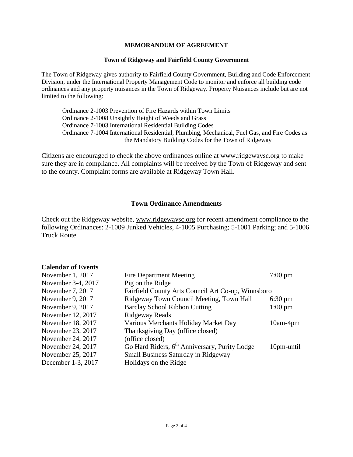### **MEMORANDUM OF AGREEMENT**

#### **Town of Ridgeway and Fairfield County Government**

The Town of Ridgeway gives authority to Fairfield County Government, Building and Code Enforcement Division, under the International Property Management Code to monitor and enforce all building code ordinances and any property nuisances in the Town of Ridgeway. Property Nuisances include but are not limited to the following:

Ordinance 2-1003 Prevention of Fire Hazards within Town Limits Ordinance 2-1008 Unsightly Height of Weeds and Grass Ordinance 7-1003 International Residential Building Codes Ordinance 7-1004 International Residential, Plumbing, Mechanical, Fuel Gas, and Fire Codes as the Mandatory Building Codes for the Town of Ridgeway

Citizens are encouraged to check the above ordinances online at [www.ridgewaysc.org](http://www.ridgewaysc.org/) to make sure they are in compliance. All complaints will be received by the Town of Ridgeway and sent to the county. Complaint forms are available at Ridgeway Town Hall.

### **Town Ordinance Amendments**

Check out the Ridgeway website, [www.ridgewaysc.org](http://www.ridgewaysc.org/) for recent amendment compliance to the following Ordinances: 2-1009 Junked Vehicles, 4-1005 Purchasing; 5-1001 Parking; and 5-1006 Truck Route.

#### **Calendar of Events**

| November 1, 2017   | <b>Fire Department Meeting</b>                            | $7:00 \text{ pm}$ |
|--------------------|-----------------------------------------------------------|-------------------|
| November 3-4, 2017 | Pig on the Ridge                                          |                   |
| November 7, 2017   | Fairfield County Arts Council Art Co-op, Winnsboro        |                   |
| November 9, 2017   | Ridgeway Town Council Meeting, Town Hall                  | $6:30 \text{ pm}$ |
| November 9, 2017   | <b>Barclay School Ribbon Cutting</b>                      | $1:00 \text{ pm}$ |
| November 12, 2017  | Ridgeway Reads                                            |                   |
| November 18, 2017  | Various Merchants Holiday Market Day                      | 10am-4pm          |
| November 23, 2017  | Thanksgiving Day (office closed)                          |                   |
| November 24, 2017  | (office closed)                                           |                   |
| November 24, 2017  | Go Hard Riders, 6 <sup>th</sup> Anniversary, Purity Lodge | 10pm-until        |
| November 25, 2017  | <b>Small Business Saturday in Ridgeway</b>                |                   |
| December 1-3, 2017 | Holidays on the Ridge                                     |                   |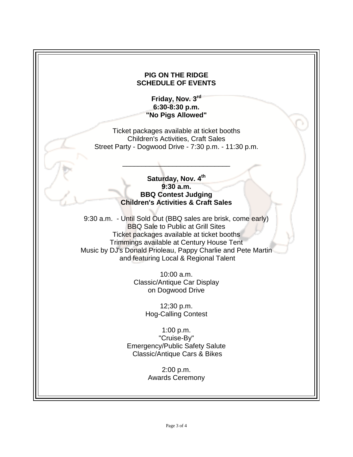# **PIG ON THE RIDGE SCHEDULE OF EVENTS Friday, Nov. 3 rd 6:30-8:30 p.m. "No Pigs Allowed"** Ticket packages available at ticket booths Children's Activities, Craft Sales Street Party - Dogwood Drive - 7:30 p.m. - 11:30 p.m. \_\_\_\_\_\_\_\_\_\_\_\_\_\_\_\_\_\_\_\_\_\_\_\_\_\_\_\_ Saturday, Nov. 4<sup>th</sup> **9:30 a.m. BBQ Contest Judging Children's Activities & Craft Sales** 9:30 a.m. - Until Sold Out (BBQ sales are brisk, come early) BBQ Sale to Public at Grill Sites Ticket packages available at ticket booths Trimmings available at Century House Tent Music by DJ's Donald Prioleau, Pappy Charlie and Pete Martin and featuring Local & Regional Talent 10:00 a.m. Classic/Antique Car Display on Dogwood Drive 12;30 p.m. Hog-Calling Contest 1:00 p.m. "Cruise-By" Emergency/Public Safety Salute Classic/Antique Cars & Bikes 2:00 p.m. Awards Ceremony